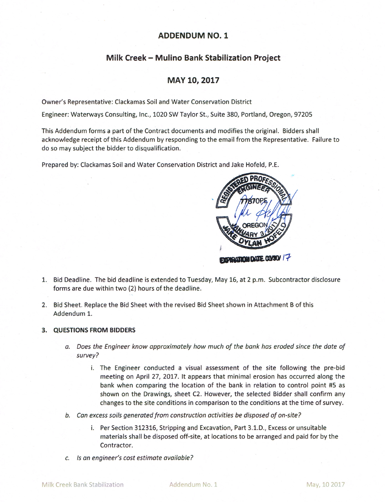## **ADDENDUM NO. 1**

# Milk Creek - Mulino Bank Stabilization Project

## MAY 10, 2017

Owner's Representative: Clackamas Soil and Water Conservation District

Engineer: Waterways Consulting, Inc., 1020 SW Taylor St., Suite 380, Portland, Oregon, 97205

This Addendum forms a part of the Contract documents and modifies the original. Bidders shall acknowledge receipt of this Addendum by responding to the email from the Representative. Failure to do so may subject the bidder to disqualification.

Prepared by: Clackamas Soil and Water Conservation District and Jake Hofeld, P.E.



- 1. Bid Deadline. The bid deadline is extended to Tuesday, May 16, at 2 p.m. Subcontractor disclosure forms are due within two (2) hours of the deadline.
- 2. Bid Sheet. Replace the Bid Sheet with the revised Bid Sheet shown in Attachment B of this Addendum 1.

#### 3. QUESTIONS FROM BIDDERS

- a. Does the Engineer know approximately how much of the bank has eroded since the date of survey?
	- i. The Engineer conducted a visual assessment of the site following the pre-bid meeting on April 27, 2017. It appears that minimal erosion has occurred along the bank when comparing the location of the bank in relation to control point #5 as shown on the Drawings, sheet C2. However, the selected Bidder shall confirm any changes to the site conditions in comparison to the conditions at the time of survey.
- b. Can excess soils generated from construction activities be disposed of on-site?
	- i. Per Section 312316, Stripping and Excavation, Part 3.1.D., Excess or unsuitable materials shall be disposed off-site, at locations to be arranged and paid for by the Contractor.
- c. Is an engineer's cost estimate available?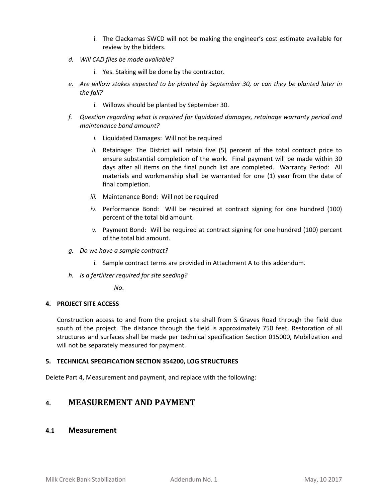- i. The Clackamas SWCD will not be making the engineer's cost estimate available for review by the bidders.
- *d. Will CAD files be made available?* 
	- i. Yes. Staking will be done by the contractor.
- *e. Are willow stakes expected to be planted by September 30, or can they be planted later in the fall?* 
	- i. Willows should be planted by September 30.
- *f. Question regarding what is required for liquidated damages, retainage warranty period and maintenance bond amount?* 
	- *i.* Liquidated Damages: Will not be required
	- *ii.* Retainage: The District will retain five (5) percent of the total contract price to ensure substantial completion of the work. Final payment will be made within 30 days after all items on the final punch list are completed. Warranty Period: All materials and workmanship shall be warranted for one (1) year from the date of final completion.
	- *iii.* Maintenance Bond: Will not be required
	- *iv.* Performance Bond: Will be required at contract signing for one hundred (100) percent of the total bid amount.
	- *v.* Payment Bond: Will be required at contract signing for one hundred (100) percent of the total bid amount.
- *g. Do we have a sample contract?* 
	- i. Sample contract terms are provided in Attachment A to this addendum.
- *h. Is a fertilizer required for site seeding?*

*No*.

#### **4. PROJECT SITE ACCESS**

Construction access to and from the project site shall from S Graves Road through the field due south of the project. The distance through the field is approximately 750 feet. Restoration of all structures and surfaces shall be made per technical specification Section 015000, Mobilization and will not be separately measured for payment.

#### **5. TECHNICAL SPECIFICATION SECTION 354200, LOG STRUCTURES**

Delete Part 4, Measurement and payment, and replace with the following:

# **4. MEASUREMENT AND PAYMENT**

### **4.1 Measurement**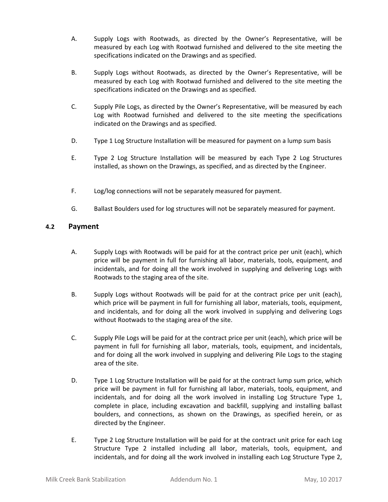- A. Supply Logs with Rootwads, as directed by the Owner's Representative, will be measured by each Log with Rootwad furnished and delivered to the site meeting the specifications indicated on the Drawings and as specified.
- B. Supply Logs without Rootwads, as directed by the Owner's Representative, will be measured by each Log with Rootwad furnished and delivered to the site meeting the specifications indicated on the Drawings and as specified.
- C. Supply Pile Logs, as directed by the Owner's Representative, will be measured by each Log with Rootwad furnished and delivered to the site meeting the specifications indicated on the Drawings and as specified.
- D. Type 1 Log Structure Installation will be measured for payment on a lump sum basis
- E. Type 2 Log Structure Installation will be measured by each Type 2 Log Structures installed, as shown on the Drawings, as specified, and as directed by the Engineer.
- F. Log/log connections will not be separately measured for payment.
- G. Ballast Boulders used for log structures will not be separately measured for payment.

## **4.2 Payment**

- A. Supply Logs with Rootwads will be paid for at the contract price per unit (each), which price will be payment in full for furnishing all labor, materials, tools, equipment, and incidentals, and for doing all the work involved in supplying and delivering Logs with Rootwads to the staging area of the site.
- B. Supply Logs without Rootwads will be paid for at the contract price per unit (each), which price will be payment in full for furnishing all labor, materials, tools, equipment, and incidentals, and for doing all the work involved in supplying and delivering Logs without Rootwads to the staging area of the site.
- C. Supply Pile Logs will be paid for at the contract price per unit (each), which price will be payment in full for furnishing all labor, materials, tools, equipment, and incidentals, and for doing all the work involved in supplying and delivering Pile Logs to the staging area of the site.
- D. Type 1 Log Structure Installation will be paid for at the contract lump sum price, which price will be payment in full for furnishing all labor, materials, tools, equipment, and incidentals, and for doing all the work involved in installing Log Structure Type 1, complete in place, including excavation and backfill, supplying and installing ballast boulders, and connections, as shown on the Drawings, as specified herein, or as directed by the Engineer.
- E. Type 2 Log Structure Installation will be paid for at the contract unit price for each Log Structure Type 2 installed including all labor, materials, tools, equipment, and incidentals, and for doing all the work involved in installing each Log Structure Type 2,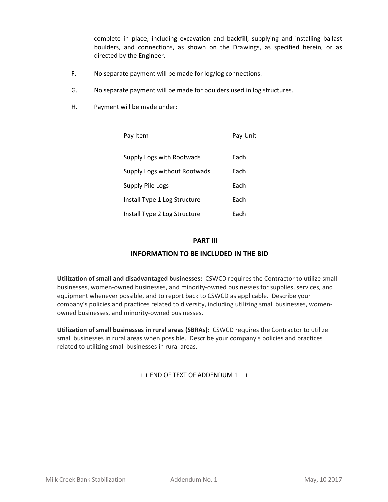complete in place, including excavation and backfill, supplying and installing ballast boulders, and connections, as shown on the Drawings, as specified herein, or as directed by the Engineer.

- F. No separate payment will be made for log/log connections.
- G. No separate payment will be made for boulders used in log structures.
- H. Payment will be made under:

| Pav Item                     | Pay Unit |
|------------------------------|----------|
| Supply Logs with Rootwads    | Each     |
| Supply Logs without Rootwads | Each     |
| Supply Pile Logs             | Each     |
| Install Type 1 Log Structure | Each     |
| Install Type 2 Log Structure | Each     |

### **PART III**

## **INFORMATION TO BE INCLUDED IN THE BID**

**Utilization of small and disadvantaged businesses:** CSWCD requires the Contractor to utilize small businesses, women‐owned businesses, and minority‐owned businesses for supplies, services, and equipment whenever possible, and to report back to CSWCD as applicable. Describe your company's policies and practices related to diversity, including utilizing small businesses, women‐ owned businesses, and minority‐owned businesses.

**Utilization of small businesses in rural areas (SBRAs):** CSWCD requires the Contractor to utilize small businesses in rural areas when possible. Describe your company's policies and practices related to utilizing small businesses in rural areas.

+ + END OF TEXT OF ADDENDUM 1 + +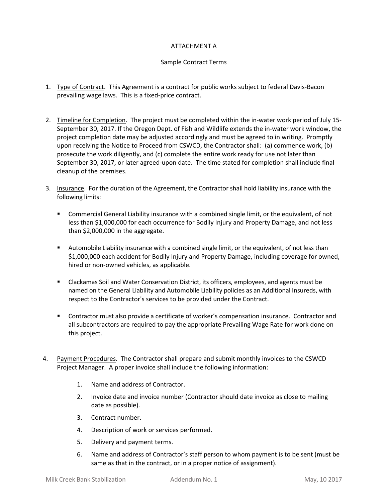### ATTACHMENT A

### Sample Contract Terms

- 1. Type of Contract. This Agreement is a contract for public works subject to federal Davis-Bacon prevailing wage laws. This is a fixed‐price contract.
- 2. Timeline for Completion. The project must be completed within the in-water work period of July 15-September 30, 2017. If the Oregon Dept. of Fish and Wildlife extends the in‐water work window, the project completion date may be adjusted accordingly and must be agreed to in writing. Promptly upon receiving the Notice to Proceed from CSWCD, the Contractor shall: (a) commence work, (b) prosecute the work diligently, and (c) complete the entire work ready for use not later than September 30, 2017, or later agreed‐upon date. The time stated for completion shall include final cleanup of the premises.
- 3. Insurance. For the duration of the Agreement, the Contractor shall hold liability insurance with the following limits:
	- Commercial General Liability insurance with a combined single limit, or the equivalent, of not less than \$1,000,000 for each occurrence for Bodily Injury and Property Damage, and not less than \$2,000,000 in the aggregate.
	- Automobile Liability insurance with a combined single limit, or the equivalent, of not less than \$1,000,000 each accident for Bodily Injury and Property Damage, including coverage for owned, hired or non‐owned vehicles, as applicable.
	- Clackamas Soil and Water Conservation District, its officers, employees, and agents must be named on the General Liability and Automobile Liability policies as an Additional Insureds, with respect to the Contractor's services to be provided under the Contract.
	- Contractor must also provide a certificate of worker's compensation insurance. Contractor and all subcontractors are required to pay the appropriate Prevailing Wage Rate for work done on this project.
- 4. Payment Procedures. The Contractor shall prepare and submit monthly invoices to the CSWCD Project Manager. A proper invoice shall include the following information:
	- 1. Name and address of Contractor.
	- 2. Invoice date and invoice number (Contractor should date invoice as close to mailing date as possible).
	- 3. Contract number.
	- 4. Description of work or services performed.
	- 5. Delivery and payment terms.
	- 6. Name and address of Contractor's staff person to whom payment is to be sent (must be same as that in the contract, or in a proper notice of assignment).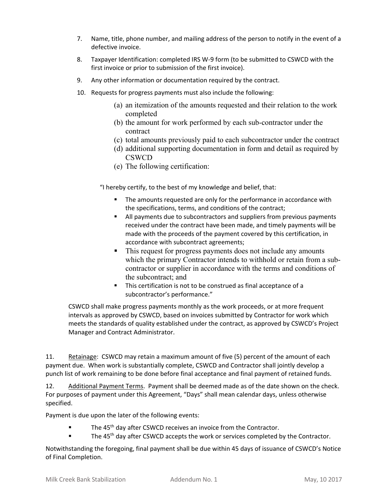- 7. Name, title, phone number, and mailing address of the person to notify in the event of a defective invoice.
- 8. Taxpayer Identification: completed IRS W-9 form (to be submitted to CSWCD with the first invoice or prior to submission of the first invoice).
- 9. Any other information or documentation required by the contract.
- 10. Requests for progress payments must also include the following:
	- (a) an itemization of the amounts requested and their relation to the work completed
	- (b) the amount for work performed by each sub-contractor under the contract
	- (c) total amounts previously paid to each subcontractor under the contract
	- (d) additional supporting documentation in form and detail as required by **CSWCD**
	- (e) The following certification:

"I hereby certify, to the best of my knowledge and belief, that:

- The amounts requested are only for the performance in accordance with the specifications, terms, and conditions of the contract;
- All payments due to subcontractors and suppliers from previous payments received under the contract have been made, and timely payments will be made with the proceeds of the payment covered by this certification, in accordance with subcontract agreements;
- This request for progress payments does not include any amounts which the primary Contractor intends to withhold or retain from a subcontractor or supplier in accordance with the terms and conditions of the subcontract; and
- **This certification is not to be construed as final acceptance of a** subcontractor's performance."

CSWCD shall make progress payments monthly as the work proceeds, or at more frequent intervals as approved by CSWCD, based on invoices submitted by Contractor for work which meets the standards of quality established under the contract, as approved by CSWCD's Project Manager and Contract Administrator.

11. Retainage: CSWCD may retain a maximum amount of five (5) percent of the amount of each payment due. When work is substantially complete, CSWCD and Contractor shall jointly develop a punch list of work remaining to be done before final acceptance and final payment of retained funds.

12. Additional Payment Terms. Payment shall be deemed made as of the date shown on the check. For purposes of payment under this Agreement, "Days" shall mean calendar days, unless otherwise specified.

Payment is due upon the later of the following events:

- $\blacksquare$  The 45<sup>th</sup> day after CSWCD receives an invoice from the Contractor.
- The 45<sup>th</sup> day after CSWCD accepts the work or services completed by the Contractor.

Notwithstanding the foregoing, final payment shall be due within 45 days of issuance of CSWCD's Notice of Final Completion.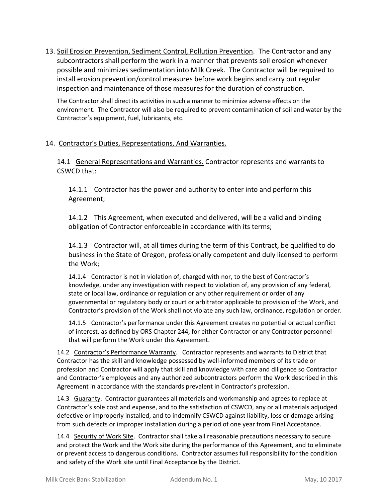13. Soil Erosion Prevention, Sediment Control, Pollution Prevention. The Contractor and any subcontractors shall perform the work in a manner that prevents soil erosion whenever possible and minimizes sedimentation into Milk Creek. The Contractor will be required to install erosion prevention/control measures before work begins and carry out regular inspection and maintenance of those measures for the duration of construction.

The Contractor shall direct its activities in such a manner to minimize adverse effects on the environment. The Contractor will also be required to prevent contamination of soil and water by the Contractor's equipment, fuel, lubricants, etc.

## 14. Contractor's Duties, Representations, And Warranties.

14.1 General Representations and Warranties. Contractor represents and warrants to CSWCD that:

14.1.1 Contractor has the power and authority to enter into and perform this Agreement;

14.1.2 This Agreement, when executed and delivered, will be a valid and binding obligation of Contractor enforceable in accordance with its terms;

14.1.3 Contractor will, at all times during the term of this Contract, be qualified to do business in the State of Oregon, professionally competent and duly licensed to perform the Work;

14.1.4 Contractor is not in violation of, charged with nor, to the best of Contractor's knowledge, under any investigation with respect to violation of, any provision of any federal, state or local law, ordinance or regulation or any other requirement or order of any governmental or regulatory body or court or arbitrator applicable to provision of the Work, and Contractor's provision of the Work shall not violate any such law, ordinance, regulation or order.

14.1.5 Contractor's performance under this Agreement creates no potential or actual conflict of interest, as defined by ORS Chapter 244, for either Contractor or any Contractor personnel that will perform the Work under this Agreement.

14.2 Contractor's Performance Warranty. Contractor represents and warrants to District that Contractor has the skill and knowledge possessed by well‐informed members of its trade or profession and Contractor will apply that skill and knowledge with care and diligence so Contractor and Contractor's employees and any authorized subcontractors perform the Work described in this Agreement in accordance with the standards prevalent in Contractor's profession.

14.3 Guaranty. Contractor guarantees all materials and workmanship and agrees to replace at Contractor's sole cost and expense, and to the satisfaction of CSWCD, any or all materials adjudged defective or improperly installed, and to indemnify CSWCD against liability, loss or damage arising from such defects or improper installation during a period of one year from Final Acceptance.

14.4 Security of Work Site. Contractor shall take all reasonable precautions necessary to secure and protect the Work and the Work site during the performance of this Agreement, and to eliminate or prevent access to dangerous conditions. Contractor assumes full responsibility for the condition and safety of the Work site until Final Acceptance by the District.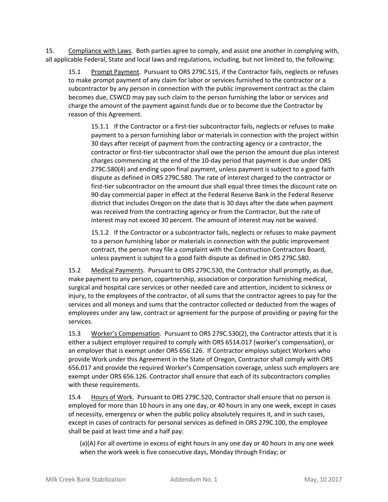15. Compliance with Laws. Both parties agree to comply, and assist one another in complying with, all applicable Federal, State and local laws and regulations, including, but not limited to, the following:

15.1 Prompt Payment. Pursuant to ORS 279C.515, if the Contractor fails, neglects or refuses to make prompt payment of any claim for labor or services furnished to the contractor or a subcontractor by any person in connection with the public improvement contract as the claim becomes due, CSWCD may pay such claim to the person furnishing the labor or services and charge the amount of the payment against funds due or to become due the Contractor by reason of this Agreement.

15.1.1 If the Contractor or a first-tier subcontractor fails, neglects or refuses to make payment to a person furnishing labor or materials in connection with the project within 30 days after receipt of payment from the contracting agency or a contractor, the contractor or first-tier subcontractor shall owe the person the amount due plus interest charges commencing at the end of the 10‐day period that payment is due under ORS 279C.580(4) and ending upon final payment, unless payment is subject to a good faith dispute as defined in ORS 279C.580. The rate of interest charged to the contractor or first-tier subcontractor on the amount due shall equal three times the discount rate on 90‐day commercial paper in effect at the Federal Reserve Bank in the Federal Reserve district that includes Oregon on the date that is 30 days after the date when payment was received from the contracting agency or from the Contractor, but the rate of interest may not exceed 30 percent. The amount of interest may not be waived.

15.1.2 If the Contractor or a subcontractor fails, neglects or refuses to make payment to a person furnishing labor or materials in connection with the public improvement contract, the person may file a complaint with the Construction Contractors Board, unless payment is subject to a good faith dispute as defined in ORS 279C.580.

15.2 Medical Payments. Pursuant to ORS 279C.530, the Contractor shall promptly, as due, make payment to any person, copartnership, association or corporation furnishing medical, surgical and hospital care services or other needed care and attention, incident to sickness or injury, to the employees of the contractor, of all sums that the contractor agrees to pay for the services and all moneys and sums that the contractor collected or deducted from the wages of employees under any law, contract or agreement for the purpose of providing or paying for the services.

15.3 Worker's Compensation. Pursuant to ORS 279C.530(2), the Contractor attests that it is either a subject employer required to comply with ORS 6514.017 (worker's compensation), or an employer that is exempt under ORS 656.126. If Contractor employs subject Workers who provide Work under this Agreement in the State of Oregon, Contractor shall comply with ORS 656.017 and provide the required Worker's Compensation coverage, unless such employers are exempt under ORS 656.126. Contractor shall ensure that each of its subcontractors complies with these requirements.

15.4 Hours of Work. Pursuant to ORS 279C.520, Contractor shall ensure that no person is employed for more than 10 hours in any one day, or 40 hours in any one week, except in cases of necessity, emergency or when the public policy absolutely requires it, and in such cases, except in cases of contracts for personal services as defined in ORS 279C.100, the employee shall be paid at least time and a half pay:

(a)(A) For all overtime in excess of eight hours in any one day or 40 hours in any one week when the work week is five consecutive days, Monday through Friday; or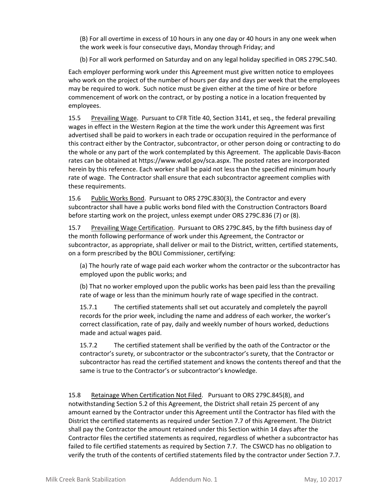(B) For all overtime in excess of 10 hours in any one day or 40 hours in any one week when the work week is four consecutive days, Monday through Friday; and

(b) For all work performed on Saturday and on any legal holiday specified in ORS 279C.540.

Each employer performing work under this Agreement must give written notice to employees who work on the project of the number of hours per day and days per week that the employees may be required to work. Such notice must be given either at the time of hire or before commencement of work on the contract, or by posting a notice in a location frequented by employees.

15.5 Prevailing Wage. Pursuant to CFR Title 40, Section 3141, et seq., the federal prevailing wages in effect in the Western Region at the time the work under this Agreement was first advertised shall be paid to workers in each trade or occupation required in the performance of this contract either by the Contractor, subcontractor, or other person doing or contracting to do the whole or any part of the work contemplated by this Agreement. The applicable Davis‐Bacon rates can be obtained at https://www.wdol.gov/sca.aspx. The posted rates are incorporated herein by this reference. Each worker shall be paid not less than the specified minimum hourly rate of wage. The Contractor shall ensure that each subcontractor agreement complies with these requirements.

15.6 Public Works Bond. Pursuant to ORS 279C.830(3), the Contractor and every subcontractor shall have a public works bond filed with the Construction Contractors Board before starting work on the project, unless exempt under ORS 279C.836 (7) or (8).

15.7 Prevailing Wage Certification. Pursuant to ORS 279C.845, by the fifth business day of the month following performance of work under this Agreement, the Contractor or subcontractor, as appropriate, shall deliver or mail to the District, written, certified statements, on a form prescribed by the BOLI Commissioner, certifying:

(a) The hourly rate of wage paid each worker whom the contractor or the subcontractor has employed upon the public works; and

(b) That no worker employed upon the public works has been paid less than the prevailing rate of wage or less than the minimum hourly rate of wage specified in the contract.

15.7.1 The certified statements shall set out accurately and completely the payroll records for the prior week, including the name and address of each worker, the worker's correct classification, rate of pay, daily and weekly number of hours worked, deductions made and actual wages paid.

15.7.2 The certified statement shall be verified by the oath of the Contractor or the contractor's surety, or subcontractor or the subcontractor's surety, that the Contractor or subcontractor has read the certified statement and knows the contents thereof and that the same is true to the Contractor's or subcontractor's knowledge.

15.8 Retainage When Certification Not Filed. Pursuant to ORS 279C.845(8), and notwithstanding Section 5.2 of this Agreement, the District shall retain 25 percent of any amount earned by the Contractor under this Agreement until the Contractor has filed with the District the certified statements as required under Section 7.7 of this Agreement. The District shall pay the Contractor the amount retained under this Section within 14 days after the Contractor files the certified statements as required, regardless of whether a subcontractor has failed to file certified statements as required by Section 7.7. The CSWCD has no obligation to verify the truth of the contents of certified statements filed by the contractor under Section 7.7.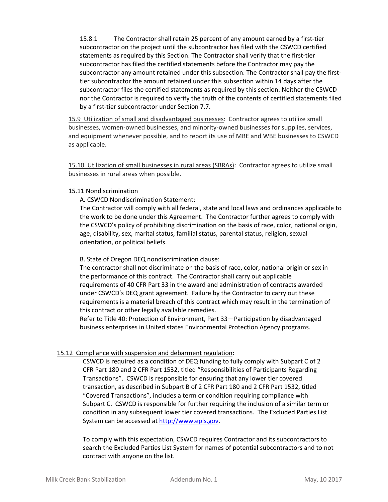15.8.1 The Contractor shall retain 25 percent of any amount earned by a first-tier subcontractor on the project until the subcontractor has filed with the CSWCD certified statements as required by this Section. The Contractor shall verify that the first-tier subcontractor has filed the certified statements before the Contractor may pay the subcontractor any amount retained under this subsection. The Contractor shall pay the firsttier subcontractor the amount retained under this subsection within 14 days after the subcontractor files the certified statements as required by this section. Neither the CSWCD nor the Contractor is required to verify the truth of the contents of certified statements filed by a first‐tier subcontractor under Section 7.7.

15.9 Utilization of small and disadvantaged businesses: Contractor agrees to utilize small businesses, women‐owned businesses, and minority‐owned businesses for supplies, services, and equipment whenever possible, and to report its use of MBE and WBE businesses to CSWCD as applicable.

15.10 Utilization of small businesses in rural areas (SBRAs): Contractor agrees to utilize small businesses in rural areas when possible.

#### 15.11 Nondiscrimination

A. CSWCD Nondiscrimination Statement:

The Contractor will comply with all federal, state and local laws and ordinances applicable to the work to be done under this Agreement. The Contractor further agrees to comply with the CSWCD's policy of prohibiting discrimination on the basis of race, color, national origin, age, disability, sex, marital status, familial status, parental status, religion, sexual orientation, or political beliefs.

### B. State of Oregon DEQ nondiscrimination clause:

The contractor shall not discriminate on the basis of race, color, national origin or sex in the performance of this contract. The Contractor shall carry out applicable requirements of 40 CFR Part 33 in the award and administration of contracts awarded under CSWCD's DEQ grant agreement. Failure by the Contractor to carry out these requirements is a material breach of this contract which may result in the termination of this contract or other legally available remedies.

Refer to Title 40: Protection of Environment, Part 33—Participation by disadvantaged business enterprises in United states Environmental Protection Agency programs.

### 15.12 Compliance with suspension and debarment regulation:

CSWCD is required as a condition of DEQ funding to fully comply with Subpart C of 2 CFR Part 180 and 2 CFR Part 1532, titled "Responsibilities of Participants Regarding Transactions". CSWCD is responsible for ensuring that any lower tier covered transaction, as described in Subpart B of 2 CFR Part 180 and 2 CFR Part 1532, titled "Covered Transactions", includes a term or condition requiring compliance with Subpart C. CSWCD is responsible for further requiring the inclusion of a similar term or condition in any subsequent lower tier covered transactions. The Excluded Parties List System can be accessed at http://www.epls.gov.

To comply with this expectation, CSWCD requires Contractor and its subcontractors to search the Excluded Parties List System for names of potential subcontractors and to not contract with anyone on the list.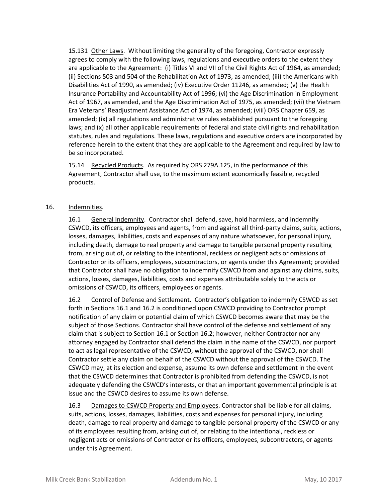15.131 Other Laws. Without limiting the generality of the foregoing, Contractor expressly agrees to comply with the following laws, regulations and executive orders to the extent they are applicable to the Agreement: (i) Titles VI and VII of the Civil Rights Act of 1964, as amended; (ii) Sections 503 and 504 of the Rehabilitation Act of 1973, as amended; (iii) the Americans with Disabilities Act of 1990, as amended; (iv) Executive Order 11246, as amended; (v) the Health Insurance Portability and Accountability Act of 1996; (vi) the Age Discrimination in Employment Act of 1967, as amended, and the Age Discrimination Act of 1975, as amended; (vii) the Vietnam Era Veterans' Readjustment Assistance Act of 1974, as amended; (viii) ORS Chapter 659, as amended; (ix) all regulations and administrative rules established pursuant to the foregoing laws; and (x) all other applicable requirements of federal and state civil rights and rehabilitation statutes, rules and regulations. These laws, regulations and executive orders are incorporated by reference herein to the extent that they are applicable to the Agreement and required by law to be so incorporated.

15.14 Recycled Products. As required by ORS 279A.125, in the performance of this Agreement, Contractor shall use, to the maximum extent economically feasible, recycled products.

#### 16. Indemnities.

16.1 General Indemnity. Contractor shall defend, save, hold harmless, and indemnify CSWCD, its officers, employees and agents, from and against all third‐party claims, suits, actions, losses, damages, liabilities, costs and expenses of any nature whatsoever, for personal injury, including death, damage to real property and damage to tangible personal property resulting from, arising out of, or relating to the intentional, reckless or negligent acts or omissions of Contractor or its officers, employees, subcontractors, or agents under this Agreement; provided that Contractor shall have no obligation to indemnify CSWCD from and against any claims, suits, actions, losses, damages, liabilities, costs and expenses attributable solely to the acts or omissions of CSWCD, its officers, employees or agents.

16.2 Control of Defense and Settlement. Contractor's obligation to indemnify CSWCD as set forth in Sections 16.1 and 16.2 is conditioned upon CSWCD providing to Contractor prompt notification of any claim or potential claim of which CSWCD becomes aware that may be the subject of those Sections. Contractor shall have control of the defense and settlement of any claim that is subject to Section 16.1 or Section 16.2; however, neither Contractor nor any attorney engaged by Contractor shall defend the claim in the name of the CSWCD, nor purport to act as legal representative of the CSWCD, without the approval of the CSWCD, nor shall Contractor settle any claim on behalf of the CSWCD without the approval of the CSWCD. The CSWCD may, at its election and expense, assume its own defense and settlement in the event that the CSWCD determines that Contractor is prohibited from defending the CSWCD, is not adequately defending the CSWCD's interests, or that an important governmental principle is at issue and the CSWCD desires to assume its own defense.

16.3 Damages to CSWCD Property and Employees. Contractor shall be liable for all claims, suits, actions, losses, damages, liabilities, costs and expenses for personal injury, including death, damage to real property and damage to tangible personal property of the CSWCD or any of its employees resulting from, arising out of, or relating to the intentional, reckless or negligent acts or omissions of Contractor or its officers, employees, subcontractors, or agents under this Agreement.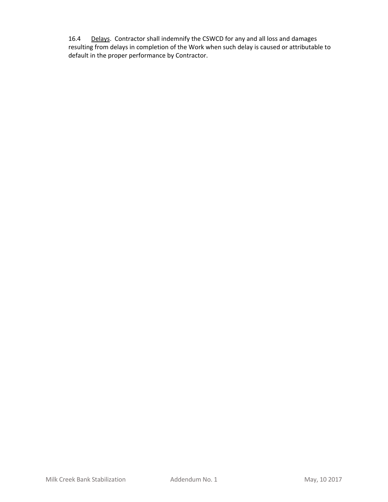16.4 Delays. Contractor shall indemnify the CSWCD for any and all loss and damages resulting from delays in completion of the Work when such delay is caused or attributable to default in the proper performance by Contractor.